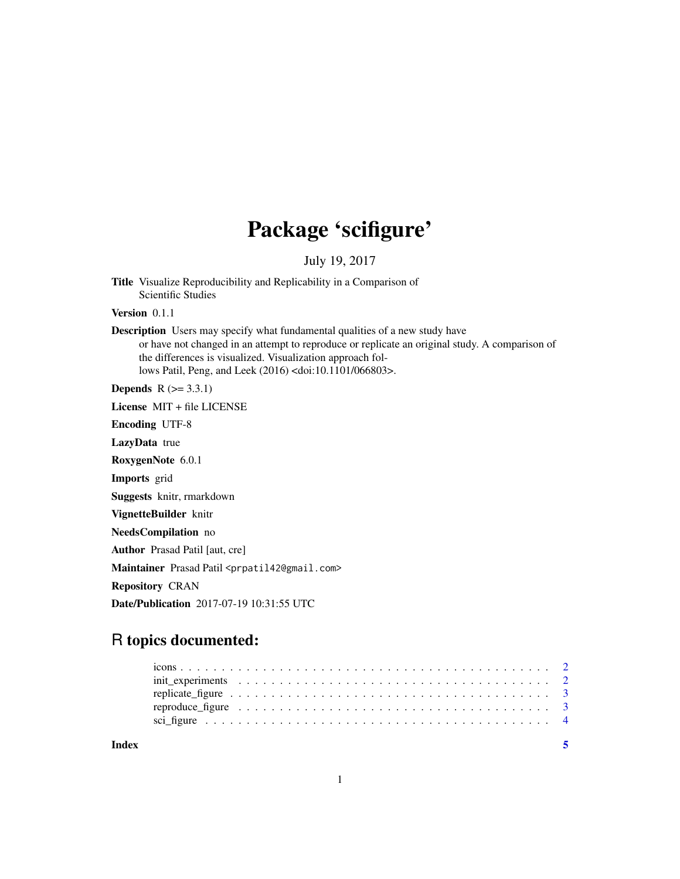# Package 'scifigure'

July 19, 2017

Title Visualize Reproducibility and Replicability in a Comparison of Scientific Studies

Version 0.1.1

Description Users may specify what fundamental qualities of a new study have or have not changed in an attempt to reproduce or replicate an original study. A comparison of the differences is visualized. Visualization approach follows Patil, Peng, and Leek (2016) <doi:10.1101/066803>.

**Depends**  $R$  ( $> = 3.3.1$ )

License MIT + file LICENSE

Encoding UTF-8

LazyData true

RoxygenNote 6.0.1

Imports grid

Suggests knitr, rmarkdown

VignetteBuilder knitr

NeedsCompilation no

Author Prasad Patil [aut, cre]

Maintainer Prasad Patil <prpatil42@gmail.com>

Repository CRAN

Date/Publication 2017-07-19 10:31:55 UTC

# R topics documented:

**Index** [5](#page-4-0). The second state of the second state of the second state of the second state of the second state of the second state of the second state of the second state of the second state of the second state of the second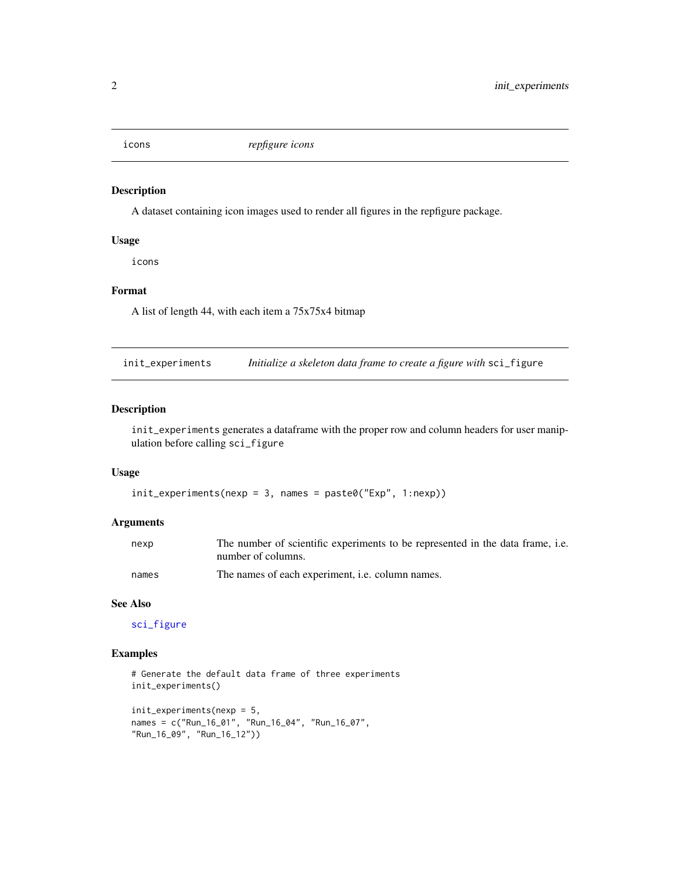<span id="page-1-0"></span>

# Description

A dataset containing icon images used to render all figures in the repfigure package.

# Usage

icons

# Format

A list of length 44, with each item a 75x75x4 bitmap

<span id="page-1-1"></span>init\_experiments *Initialize a skeleton data frame to create a figure with* sci\_figure

# Description

init\_experiments generates a dataframe with the proper row and column headers for user manipulation before calling sci\_figure

# Usage

```
init_experiments(nexp = 3, names = paste0("Exp", 1:nexp))
```
# Arguments

| nexp  | The number of scientific experiments to be represented in the data frame, i.e. |
|-------|--------------------------------------------------------------------------------|
|       | number of columns.                                                             |
| names | The names of each experiment, <i>i.e.</i> column names.                        |

# See Also

[sci\\_figure](#page-3-1)

# Examples

```
# Generate the default data frame of three experiments
init_experiments()
init_experiments(nexp = 5,
names = c("Run_16_01", "Run_16_04", "Run_16_07",
"Run_16_09", "Run_16_12"))
```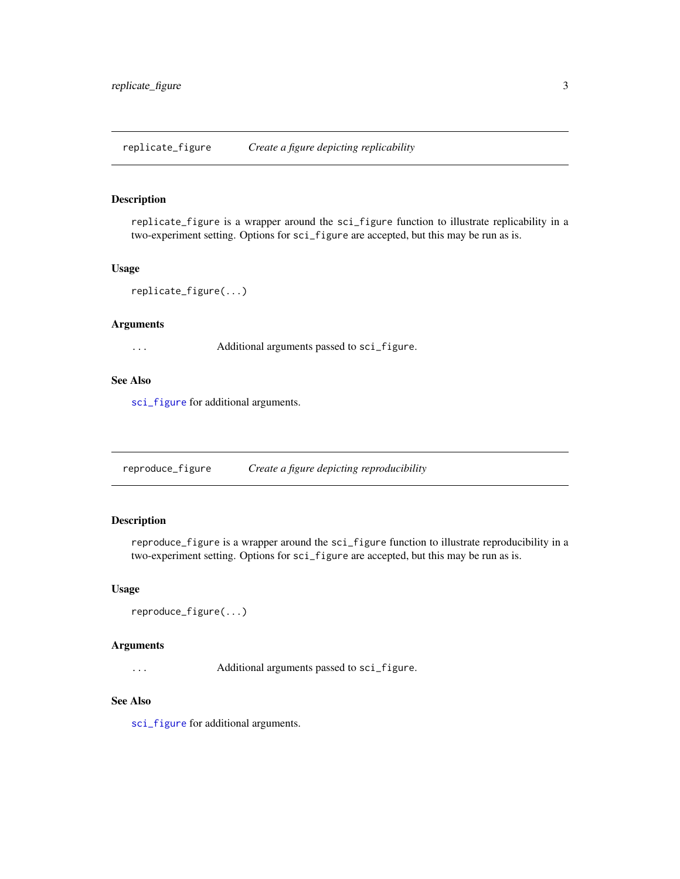# <span id="page-2-0"></span>Description

replicate\_figure is a wrapper around the sci\_figure function to illustrate replicability in a two-experiment setting. Options for sci\_figure are accepted, but this may be run as is.

# Usage

```
replicate_figure(...)
```
# Arguments

... Additional arguments passed to sci\_figure.

# See Also

[sci\\_figure](#page-3-1) for additional arguments.

reproduce\_figure *Create a figure depicting reproducibility*

# Description

reproduce\_figure is a wrapper around the sci\_figure function to illustrate reproducibility in a two-experiment setting. Options for sci\_figure are accepted, but this may be run as is.

#### Usage

```
reproduce_figure(...)
```
# Arguments

... Additional arguments passed to sci\_figure.

# See Also

[sci\\_figure](#page-3-1) for additional arguments.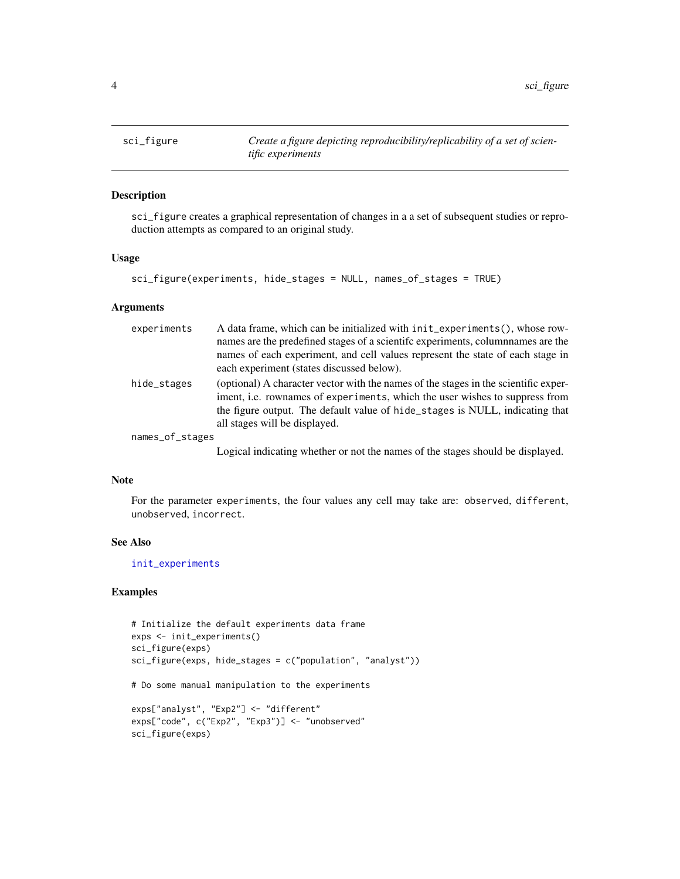<span id="page-3-1"></span><span id="page-3-0"></span>

# Description

sci\_figure creates a graphical representation of changes in a a set of subsequent studies or reproduction attempts as compared to an original study.

# Usage

```
sci_figure(experiments, hide_stages = NULL, names_of_stages = TRUE)
```
# Arguments

| experiments     | A data frame, which can be initialized with $init$ <sub>experiments</sub> (), whose row-<br>names are the predefined stages of a scientific experiments, columnames are the<br>names of each experiment, and cell values represent the state of each stage in                                                                                                                                                                |
|-----------------|------------------------------------------------------------------------------------------------------------------------------------------------------------------------------------------------------------------------------------------------------------------------------------------------------------------------------------------------------------------------------------------------------------------------------|
|                 | each experiment (states discussed below).                                                                                                                                                                                                                                                                                                                                                                                    |
| hide_stages     | (optional) A character vector with the names of the stages in the scientific exper-<br>iment, i.e. rownames of experiments, which the user wishes to suppress from<br>the figure output. The default value of hide_stages is NULL, indicating that<br>all stages will be displayed.                                                                                                                                          |
| names_of_stages |                                                                                                                                                                                                                                                                                                                                                                                                                              |
|                 | $\mathbf{r} = \mathbf{r} + \mathbf{r} + \mathbf{r} + \mathbf{r} + \mathbf{r} + \mathbf{r} + \mathbf{r} + \mathbf{r} + \mathbf{r} + \mathbf{r} + \mathbf{r} + \mathbf{r} + \mathbf{r} + \mathbf{r} + \mathbf{r} + \mathbf{r} + \mathbf{r} + \mathbf{r} + \mathbf{r} + \mathbf{r} + \mathbf{r} + \mathbf{r} + \mathbf{r} + \mathbf{r} + \mathbf{r} + \mathbf{r} + \mathbf{r} + \mathbf{r} + \mathbf{r} + \mathbf{r} + \mathbf$ |

Logical indicating whether or not the names of the stages should be displayed.

# Note

For the parameter experiments, the four values any cell may take are: observed, different, unobserved, incorrect.

# See Also

[init\\_experiments](#page-1-1)

# Examples

```
# Initialize the default experiments data frame
exps <- init_experiments()
sci_figure(exps)
sci_figure(exps, hide_stages = c("population", "analyst"))
# Do some manual manipulation to the experiments
exps["analyst", "Exp2"] <- "different"
exps["code", c("Exp2", "Exp3")] <- "unobserved"
sci_figure(exps)
```